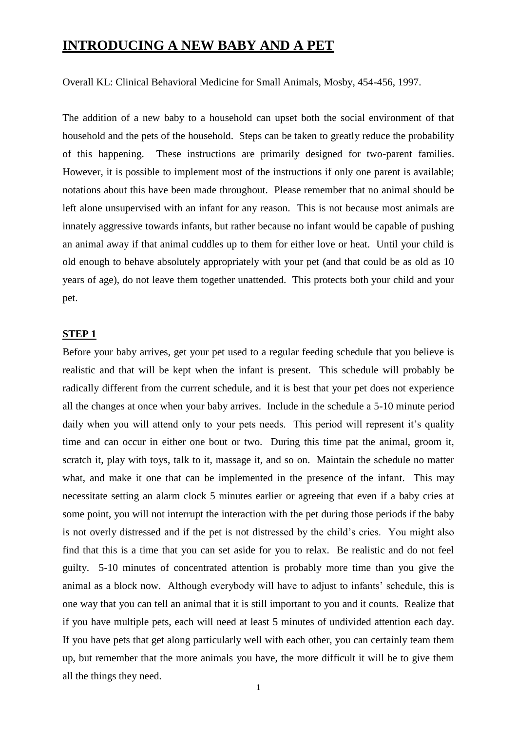# **INTRODUCING A NEW BABY AND A PET**

Overall KL: Clinical Behavioral Medicine for Small Animals, Mosby, 454-456, 1997.

The addition of a new baby to a household can upset both the social environment of that household and the pets of the household. Steps can be taken to greatly reduce the probability of this happening. These instructions are primarily designed for two-parent families. However, it is possible to implement most of the instructions if only one parent is available; notations about this have been made throughout. Please remember that no animal should be left alone unsupervised with an infant for any reason. This is not because most animals are innately aggressive towards infants, but rather because no infant would be capable of pushing an animal away if that animal cuddles up to them for either love or heat. Until your child is old enough to behave absolutely appropriately with your pet (and that could be as old as 10 years of age), do not leave them together unattended. This protects both your child and your pet.

#### **STEP 1**

Before your baby arrives, get your pet used to a regular feeding schedule that you believe is realistic and that will be kept when the infant is present. This schedule will probably be radically different from the current schedule, and it is best that your pet does not experience all the changes at once when your baby arrives. Include in the schedule a 5-10 minute period daily when you will attend only to your pets needs. This period will represent it's quality time and can occur in either one bout or two. During this time pat the animal, groom it, scratch it, play with toys, talk to it, massage it, and so on. Maintain the schedule no matter what, and make it one that can be implemented in the presence of the infant. This may necessitate setting an alarm clock 5 minutes earlier or agreeing that even if a baby cries at some point, you will not interrupt the interaction with the pet during those periods if the baby is not overly distressed and if the pet is not distressed by the child's cries. You might also find that this is a time that you can set aside for you to relax. Be realistic and do not feel guilty. 5-10 minutes of concentrated attention is probably more time than you give the animal as a block now. Although everybody will have to adjust to infants' schedule, this is one way that you can tell an animal that it is still important to you and it counts. Realize that if you have multiple pets, each will need at least 5 minutes of undivided attention each day. If you have pets that get along particularly well with each other, you can certainly team them up, but remember that the more animals you have, the more difficult it will be to give them all the things they need.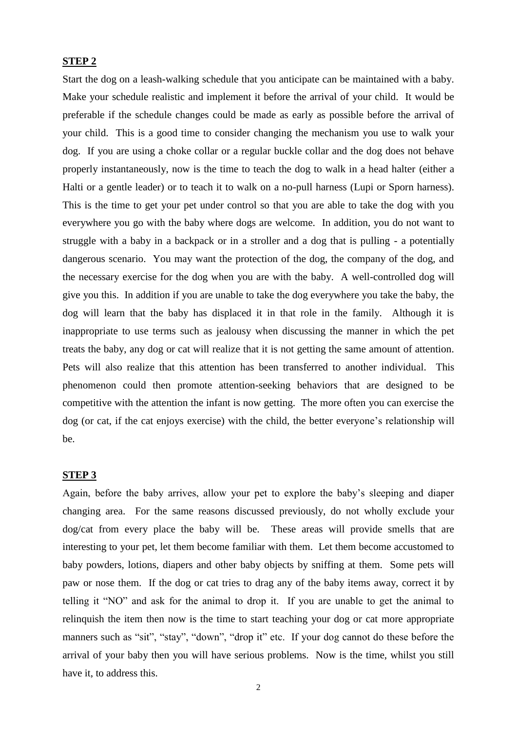# **STEP 2**

Start the dog on a leash-walking schedule that you anticipate can be maintained with a baby. Make your schedule realistic and implement it before the arrival of your child. It would be preferable if the schedule changes could be made as early as possible before the arrival of your child. This is a good time to consider changing the mechanism you use to walk your dog. If you are using a choke collar or a regular buckle collar and the dog does not behave properly instantaneously, now is the time to teach the dog to walk in a head halter (either a Halti or a gentle leader) or to teach it to walk on a no-pull harness (Lupi or Sporn harness). This is the time to get your pet under control so that you are able to take the dog with you everywhere you go with the baby where dogs are welcome. In addition, you do not want to struggle with a baby in a backpack or in a stroller and a dog that is pulling - a potentially dangerous scenario. You may want the protection of the dog, the company of the dog, and the necessary exercise for the dog when you are with the baby. A well-controlled dog will give you this. In addition if you are unable to take the dog everywhere you take the baby, the dog will learn that the baby has displaced it in that role in the family. Although it is inappropriate to use terms such as jealousy when discussing the manner in which the pet treats the baby, any dog or cat will realize that it is not getting the same amount of attention. Pets will also realize that this attention has been transferred to another individual. This phenomenon could then promote attention-seeking behaviors that are designed to be competitive with the attention the infant is now getting. The more often you can exercise the dog (or cat, if the cat enjoys exercise) with the child, the better everyone's relationship will be.

# **STEP 3**

Again, before the baby arrives, allow your pet to explore the baby's sleeping and diaper changing area. For the same reasons discussed previously, do not wholly exclude your dog/cat from every place the baby will be. These areas will provide smells that are interesting to your pet, let them become familiar with them. Let them become accustomed to baby powders, lotions, diapers and other baby objects by sniffing at them. Some pets will paw or nose them. If the dog or cat tries to drag any of the baby items away, correct it by telling it "NO" and ask for the animal to drop it. If you are unable to get the animal to relinquish the item then now is the time to start teaching your dog or cat more appropriate manners such as "sit", "stay", "down", "drop it" etc. If your dog cannot do these before the arrival of your baby then you will have serious problems. Now is the time, whilst you still have it, to address this.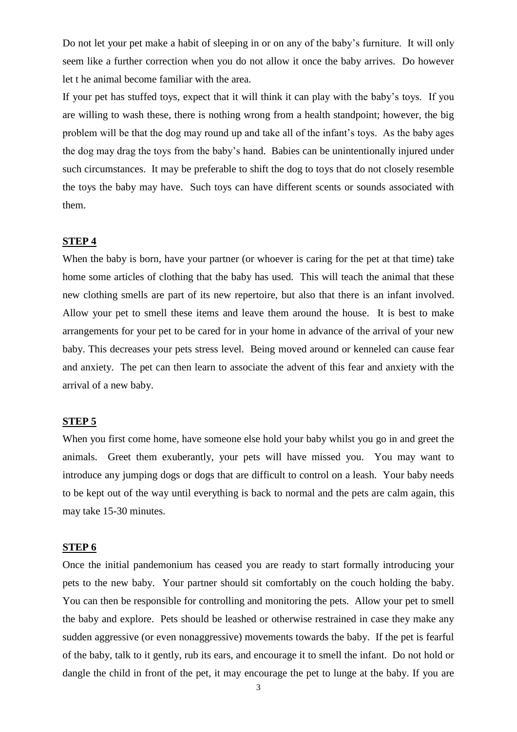Do not let your pet make a habit of sleeping in or on any of the baby's furniture. It will only seem like a further correction when you do not allow it once the baby arrives. Do however let t he animal become familiar with the area.

If your pet has stuffed toys, expect that it will think it can play with the baby's toys. If you are willing to wash these, there is nothing wrong from a health standpoint; however, the big problem will be that the dog may round up and take all of the infant's toys. As the baby ages the dog may drag the toys from the baby's hand. Babies can be unintentionally injured under such circumstances. It may be preferable to shift the dog to toys that do not closely resemble the toys the baby may have. Such toys can have different scents or sounds associated with them.

#### **STEP 4**

When the baby is born, have your partner (or whoever is caring for the pet at that time) take home some articles of clothing that the baby has used. This will teach the animal that these new clothing smells are part of its new repertoire, but also that there is an infant involved. Allow your pet to smell these items and leave them around the house. It is best to make arrangements for your pet to be cared for in your home in advance of the arrival of your new baby. This decreases your pets stress level. Being moved around or kenneled can cause fear and anxiety. The pet can then learn to associate the advent of this fear and anxiety with the arrival of a new baby.

#### **STEP 5**

When you first come home, have someone else hold your baby whilst you go in and greet the animals. Greet them exuberantly, your pets will have missed you. You may want to introduce any jumping dogs or dogs that are difficult to control on a leash. Your baby needs to be kept out of the way until everything is back to normal and the pets are calm again, this may take 15-30 minutes.

## **STEP 6**

Once the initial pandemonium has ceased you are ready to start formally introducing your pets to the new baby. Your partner should sit comfortably on the couch holding the baby. You can then be responsible for controlling and monitoring the pets. Allow your pet to smell the baby and explore. Pets should be leashed or otherwise restrained in case they make any sudden aggressive (or even nonaggressive) movements towards the baby. If the pet is fearful of the baby, talk to it gently, rub its ears, and encourage it to smell the infant. Do not hold or dangle the child in front of the pet, it may encourage the pet to lunge at the baby. If you are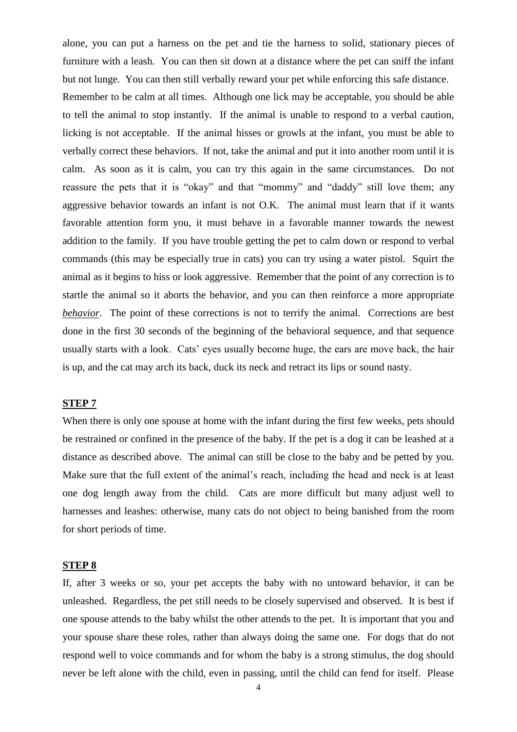alone, you can put a harness on the pet and tie the harness to solid, stationary pieces of furniture with a leash. You can then sit down at a distance where the pet can sniff the infant but not lunge. You can then still verbally reward your pet while enforcing this safe distance. Remember to be calm at all times. Although one lick may be acceptable, you should be able to tell the animal to stop instantly. If the animal is unable to respond to a verbal caution, licking is not acceptable. If the animal hisses or growls at the infant, you must be able to verbally correct these behaviors. If not, take the animal and put it into another room until it is calm. As soon as it is calm, you can try this again in the same circumstances. Do not reassure the pets that it is "okay" and that "mommy" and "daddy" still love them; any aggressive behavior towards an infant is not O.K. The animal must learn that if it wants favorable attention form you, it must behave in a favorable manner towards the newest addition to the family. If you have trouble getting the pet to calm down or respond to verbal commands (this may be especially true in cats) you can try using a water pistol. Squirt the animal as it begins to hiss or look aggressive. Remember that the point of any correction is to startle the animal so it aborts the behavior, and you can then reinforce a more appropriate *behavior*. The point of these corrections is not to terrify the animal. Corrections are best done in the first 30 seconds of the beginning of the behavioral sequence, and that sequence usually starts with a look. Cats' eyes usually become huge, the ears are move back, the hair is up, and the cat may arch its back, duck its neck and retract its lips or sound nasty.

## **STEP 7**

When there is only one spouse at home with the infant during the first few weeks, pets should be restrained or confined in the presence of the baby. If the pet is a dog it can be leashed at a distance as described above. The animal can still be close to the baby and be petted by you. Make sure that the full extent of the animal's reach, including the head and neck is at least one dog length away from the child. Cats are more difficult but many adjust well to harnesses and leashes: otherwise, many cats do not object to being banished from the room for short periods of time.

#### **STEP 8**

If, after 3 weeks or so, your pet accepts the baby with no untoward behavior, it can be unleashed. Regardless, the pet still needs to be closely supervised and observed. It is best if one spouse attends to the baby whilst the other attends to the pet. It is important that you and your spouse share these roles, rather than always doing the same one. For dogs that do not respond well to voice commands and for whom the baby is a strong stimulus, the dog should never be left alone with the child, even in passing, until the child can fend for itself. Please